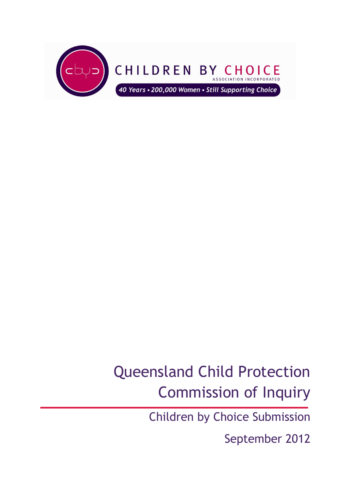

# Queensland Child Protection Commission of Inquiry

Children by Choice Submission

September 2012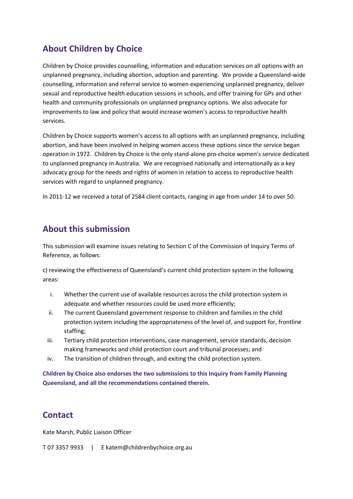### **About Children by Choice**

Children by Choice provides counselling, information and education services on all options with an unplanned pregnancy, including abortion, adoption and parenting. We provide a Queensland-wide counselling, information and referral service to women experiencing unplanned pregnancy, deliver sexual and reproductive health education sessions in schools, and offer training for GPs and other health and community professionals on unplanned pregnancy options. We also advocate for improvements to law and policy that would increase women's access to reproductive health services.

Children by Choice supports women's access to all options with an unplanned pregnancy, including abortion, and have been involved in helping women access these options since the service began operation in 1972. Children by Choice is the only stand-alone pro-choice women's service dedicated to unplanned pregnancy in Australia. We are recognised nationally and internationally as a key advocacy group for the needs and rights of women in relation to access to reproductive health services with regard to unplanned pregnancy.

In 2011-12 we received a total of 2584 client contacts, ranging in age from under 14 to over 50.

#### **About this submission**

This submission will examine issues relating to Section C of the Commission of Inquiry Terms of Reference, as follows:

c) reviewing the effectiveness of Queensland's current child protection system in the following areas:

- i. Whether the current use of available resources across the child protection system in adequate and whether resources could be used more efficiently;
- ii. The current Queensland government response to children and families in the child protection system including the appropriateness of the level of, and support for, frontline staffing;
- iii. Tertiary child protection interventions, case management, service standards, decision making frameworks and child protection court and tribunal processes; and
- iv. The transition of children through, and exiting the child protection system.

**Children by Choice also endorses the two submissions to this Inquiry from Family Planning Queensland, and all the recommendations contained therein.** 

### **Contact**

Kate Marsh, Public Liaison Officer

T 07 3357 9933 | E katem@childrenbychoice.org.au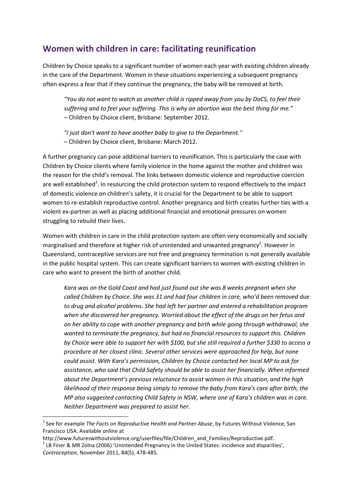#### **Women with children in care: facilitating reunification**

Children by Choice speaks to a significant number of women each year with existing children already in the care of the Department. Women in these situations experiencing a subsequent pregnancy often express a fear that if they continue the pregnancy, the baby will be removed at birth.

*"You do not want to watch as another child is ripped away from you by DoCS, to feel their suffering and to feel your suffering. This is why an abortion was the best thing for me." –* Children by Choice client, Brisbane: September 2012.

*"I just don't want to have another baby to give to the Department."*  – Children by Choice client, Brisbane: March 2012.

A further pregnancy can pose additional barriers to reunification. This is particularly the case with Children by Choice clients where family violence in the home against the mother and children was the reason for the child's removal. The links between domestic violence and reproductive coercion are well established<sup>1</sup>. In resourcing the child protection system to respond effectively to the impact of domestic violence on children's safety, it is crucial for the Department to be able to support women to re-establish reproductive control. Another pregnancy and birth creates further ties with a violent ex-partner as well as placing additional financial and emotional pressures on women struggling to rebuild their lives.

Women with children in care in the child protection system are often very economically and socially marginalised and therefore at higher risk of unintended and unwanted pregnancy<sup>2</sup>. However in Queensland, contraceptive services are not free and pregnancy termination is not generally available in the public hospital system. This can create significant barriers to women with existing children in care who want to prevent the birth of another child.

*Kara was on the Gold Coast and had just found out she was 8 weeks pregnant when she called Children by Choice. She was 31 and had four children in care, who'd been removed due to drug and alcohol problems. She had left her partner and entered a rehabilitation program when she discovered her pregnancy. Worried about the effect of the drugs on her fetus and on her ability to cope with another pregnancy and birth while going through withdrawal, she wanted to terminate the pregnancy, but had no financial resources to support this. Children by Choice were able to support her with \$100, but she still required a further \$330 to access a procedure at her closest clinic. Several other services were approached for help, but none could assist. With Kara's permission, Children by Choice contacted her local MP to ask for assistance, who said that Child Safety should be able to assist her financially. When informed about the Department's previous reluctance to assist women in this situation, and the high likelihood of their response being simply to remove the baby from Kara's care after birth, the MP also suggested contacting Child Safety in NSW, where one of Kara's children was in care. Neither Department was prepared to assist her.* 

l

<sup>&</sup>lt;sup>1</sup> See for example *The Facts on Reproductive Health and Partner Abuse*, by Futures Without Violence, San Francisco USA. Available online at

http://www.futureswithoutviolence.org/userfiles/file/Children\_and\_Families/Reproductive.pdf.

 $^2$  LB Finer & MR Zolna (2006) 'Unintended Pregnancy in the United States: incidence and disparities', *Contraception*, November 2011, 84(5), 478-485.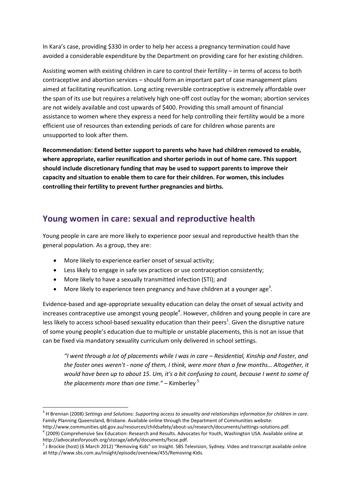In Kara's case, providing \$330 in order to help her access a pregnancy termination could have avoided a considerable expenditure by the Department on providing care for her existing children.

Assisting women with existing children in care to control their fertility – in terms of access to both contraceptive and abortion services – should form an important part of case management plans aimed at facilitating reunification. Long acting reversible contraceptive is extremely affordable over the span of its use but requires a relatively high one-off cost outlay for the woman; abortion services are not widely available and cost upwards of \$400. Providing this small amount of financial assistance to women where they express a need for help controlling their fertility would be a more efficient use of resources than extending periods of care for children whose parents are unsupported to look after them.

**Recommendation: Extend better support to parents who have had children removed to enable, where appropriate, earlier reunification and shorter periods in out of home care. This support should include discretionary funding that may be used to support parents to improve their capacity and situation to enable them to care for their children. For women, this includes controlling their fertility to prevent further pregnancies and births.** 

### **Young women in care: sexual and reproductive health**

Young people in care are more likely to experience poor sexual and reproductive health than the general population. As a group, they are:

• More likely to experience earlier onset of sexual activity;

 $\overline{\phantom{0}}$ 

- Less likely to engage in safe sex practices or use contraception consistently;
- More likely to have a sexually transmitted infection (STI); and
- More likely to experience teen pregnancy and have children at a younger age<sup>3</sup>.

Evidence-based and age-appropriate sexuality education can delay the onset of sexual activity and increases contraceptive use amongst young people<sup>4</sup>. However, children and young people in care are less likely to access school-based sexuality education than their peers<sup>1</sup>. Given the disruptive nature of some young people's education due to multiple or unstable placements, this is not an issue that can be fixed via mandatory sexuality curriculum only delivered in school settings.

*"I went through a lot of placements while I was in care – Residential, Kinship and Foster, and the foster ones weren't - none of them, I think, were more than a few months… Altogether, it would have been up to about 15. Um, it's a bit confusing to count, because I went to some of the placements more than one time."* – Kimberley <sup>5</sup>

<sup>3</sup> H Brennan (2008) *Settings and Solutions: Supporting access to sexuality and relationships information for children in care*. Family Planning Queensland, Brisbane. Available online through the Department of Communities website:

http://www.communities.qld.gov.au/resources/childsafety/about-us/research/documents/settings-solutions.pdf.  $4$  (2009) Comprehensive Sex Education: Research and Results. Advocates for Youth, Washington USA. Available online at http://advocatesforyouth.org/storage/advfy/documents/fscse.pdf.

<sup>&</sup>lt;sup>5</sup> J Brockie (host) (6 March 2012) "Removing Kids" on Insight. SBS Television, Sydney. Video and transcript available online at http://www.sbs.com.au/insight/episode/overview/455/Removing-Kids.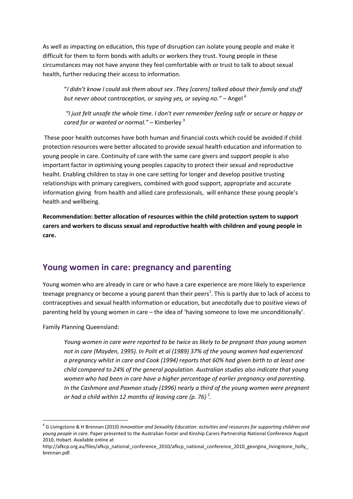As well as impacting on education, this type of disruption can isolate young people and make it difficult for them to form bonds with adults or workers they trust. Young people in these circumstances may not have anyone they feel comfortable with or trust to talk to about sexual health, further reducing their access to information.

"*I didn't know I could ask them about sex .They [carers] talked about their family and stuff*  but never about contraception, or saying yes, or saying no." – Angel <sup>6</sup>

 *"I just felt unsafe the whole time. I don't ever remember feeling safe or secure or happy or cared for or wanted or normal."* – Kimberley <sup>3</sup>

 These poor health outcomes have both human and financial costs which could be avoided if child protection resources were better allocated to provide sexual health education and information to young people in care. Continuity of care with the same care givers and support people is also important factor in optimising young peoples capacity to protect their sexual and reproductive healht. Enabling children to stay in one care setting for longer and develop positive trusting relationships with primary caregivers, combined with good support, appropriate and accurate information giving from health and allied care professionals, will enhance these young people's health and wellbeing.

**Recommendation: better allocation of resources within the child protection system to support carers and workers to discuss sexual and reproductive health with children and young people in care.** 

#### **Young women in care: pregnancy and parenting**

Young women who are already in care or who have a care experience are more likely to experience teenage pregnancy or become a young parent than their peers<sup>1</sup>. This is partly due to lack of access to contraceptives and sexual health information or education, but anecdotally due to positive views of parenting held by young women in care – the idea of 'having someone to love me unconditionally'.

Family Planning Queensland:

 $\overline{a}$ 

*Young women in care were reported to be twice as likely to be pregnant than young women not in care (Mayden, 1995). In Polit et al (1989) 37% of the young women had experienced a pregnancy whilst in care and Cook (1994) reports that 60% had given birth to at least one child compared to 24% of the general population. Australian studies also indicate that young women who had been in care have a higher percentage of earlier pregnancy and parenting. In the Cashmore and Paxman study (1996) nearly a third of the young women were pregnant or had a child within 12 months of leaving care (p. 76) <sup>1</sup> .* 

<sup>6</sup> G Livingstone & H Brennan (2010) *Innovation and Sexuality Education: activities and resources for supporting children and young people in care.* Paper presented to the Australian Foster and Kinship Carers Partnership National Conference August 2010, Hobart. Available online at

http://afkcp.org.au/files/afkcp\_national\_conference\_2010/afkcp\_national\_conference\_2010\_georgina\_livingstone\_holly brennan.pdf.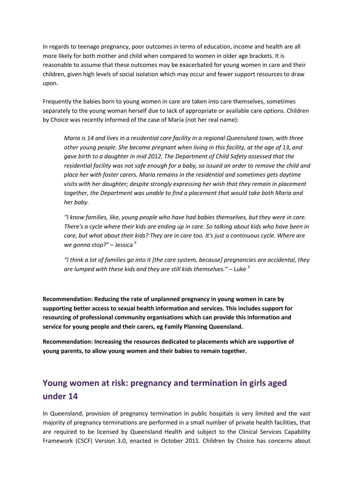In regards to teenage pregnancy, poor outcomes in terms of education, income and health are all more likely for both mother and child when compared to women in older age brackets. It is reasonable to assume that these outcomes may be exacerbated for young women in care and their children, given high levels of social isolation which may occur and fewer support resources to draw upon.

Frequently the babies born to young women in care are taken into care themselves, sometimes separately to the young woman herself due to lack of appropriate or available care options. Children by Choice was recently informed of the case of Maria (not her real name):

*Maria is 14 and lives in a residential care facility in a regional Queensland town, with three other young people. She became pregnant when living in this facility, at the age of 13, and gave birth to a daughter in mid 2012. The Department of Child Safety assessed that the residential facility was not safe enough for a baby, so issued an order to remove the child and place her with foster carers. Maria remains in the residential and sometimes gets daytime visits with her daughter; despite strongly expressing her wish that they remain in placement together, the Department was unable to find a placement that would take both Maria and her baby.* 

*"I know families, like, young people who have had babies themselves, but they were in care. There's a cycle where their kids are ending up in care. So talking about kids who have been in care, but what about their kids? They are in care too. It's just a continuous cycle. Where are we gonna stop?"* – Jessica <sup>3</sup>

*"I think a lot of families go into it [the care system, because] pregnancies are accidental, they are lumped with these kids and they are still kids themselves."* – Luke <sup>3</sup>

**Recommendation: Reducing the rate of unplanned pregnancy in young women in care by supporting better access to sexual health information and services. This includes support for resourcing of professional community organisations which can provide this information and service for young people and their carers, eg Family Planning Queensland.** 

**Recommendation: Increasing the resources dedicated to placements which are supportive of young parents, to allow young women and their babies to remain together.** 

## **Young women at risk: pregnancy and termination in girls aged under 14**

In Queensland, provision of pregnancy termination in public hospitals is very limited and the vast majority of pregnancy terminations are performed in a small number of private health facilities, that are required to be licensed by Queensland Health and subject to the Clinical Services Capability Framework (CSCF) Version 3.0, enacted in October 2011. Children by Choice has concerns about